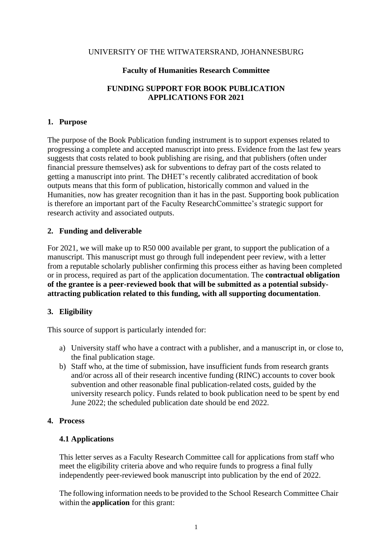#### UNIVERSITY OF THE WITWATERSRAND, JOHANNESBURG

#### **Faculty of Humanities Research Committee**

# **FUNDING SUPPORT FOR BOOK PUBLICATION APPLICATIONS FOR 2021**

### **1. Purpose**

The purpose of the Book Publication funding instrument is to support expenses related to progressing a complete and accepted manuscript into press. Evidence from the last few years suggests that costs related to book publishing are rising, and that publishers (often under financial pressure themselves) ask for subventions to defray part of the costs related to getting a manuscript into print. The DHET's recently calibrated accreditation of book outputs means that this form of publication, historically common and valued in the Humanities, now has greater recognition than it has in the past. Supporting book publication is therefore an important part of the Faculty ResearchCommittee's strategic support for research activity and associated outputs.

### **2. Funding and deliverable**

For 2021, we will make up to R50 000 available per grant, to support the publication of a manuscript. This manuscript must go through full independent peer review, with a letter from a reputable scholarly publisher confirming this process either as having been completed or in process, required as part of the application documentation. The **contractual obligation of the grantee is a peer-reviewed book that will be submitted as a potential subsidyattracting publication related to this funding, with all supporting documentation**.

### **3. Eligibility**

This source of support is particularly intended for:

- a) University staff who have a contract with a publisher, and a manuscript in, or close to, the final publication stage.
- b) Staff who, at the time of submission, have insufficient funds from research grants and/or across all of their research incentive funding (RINC) accounts to cover book subvention and other reasonable final publication-related costs, guided by the university research policy. Funds related to book publication need to be spent by end June 2022; the scheduled publication date should be end 2022.

#### **4. Process**

### **4.1 Applications**

This letter serves as a Faculty Research Committee call for applications from staff who meet the eligibility criteria above and who require funds to progress a final fully independently peer-reviewed book manuscript into publication by the end of 2022.

The following information needs to be provided to the School Research Committee Chair within the **application** for this grant: